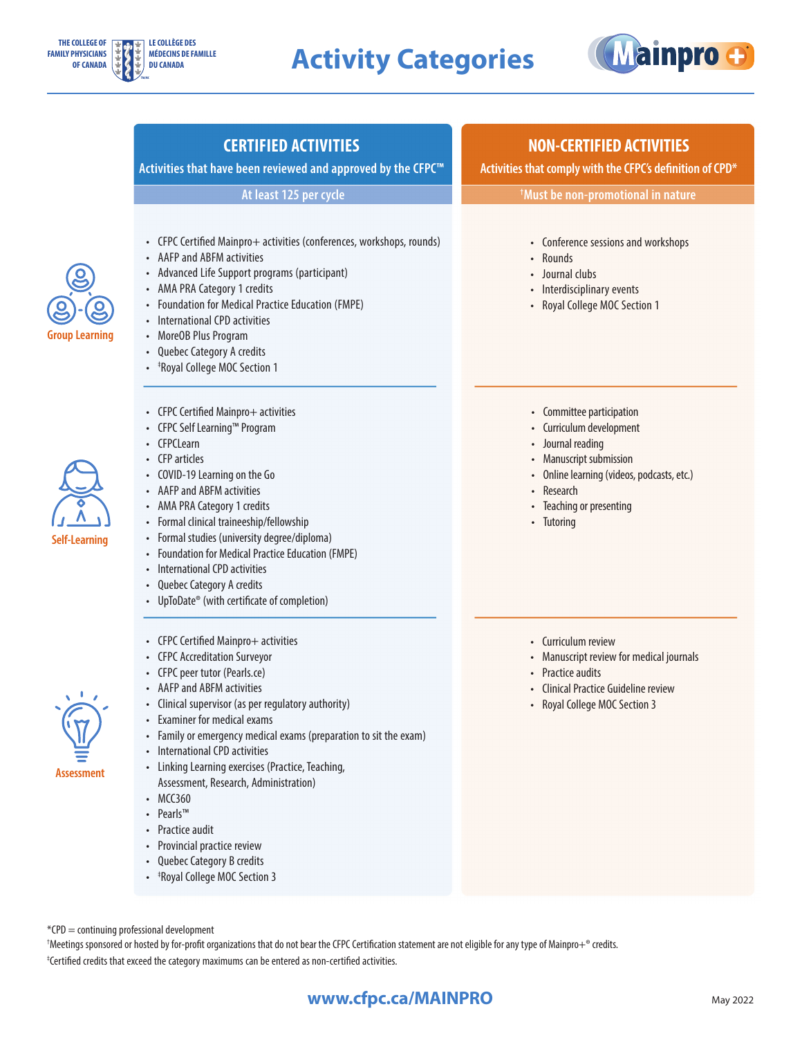



#### **CERTIFIED ACTIVITIES**

**Activities that have been reviewed and approved by the CFPC™** 

**At least 125 per cycle**

- CFPC Certified Mainpro+ activities (conferences, workshops, rounds)
- AAFP and ABFM activities
- Advanced Life Support programs (participant)
- AMA PRA Category 1 credits
- Foundation for Medical Practice Education (FMPE)
- International CPD activities
- MoreOB Plus Program
- Quebec Category A credits
- ‡ Royal College MOC Section 1
- **Group Learning**

- **Self-Learning**
- CFPC Certified Mainpro+ activities
- CFPC Self Learning™ Program
- CFPCLearn
- CFP articles
- COVID-19 Learning on the Go
- AAFP and ABFM activities
- AMA PRA Category 1 credits
- Formal clinical traineeship/fellowship
- Formal studies (university degree/diploma)
- Foundation for Medical Practice Education (FMPE)
- International CPD activities
- Quebec Category A credits
- UpToDate<sup>®</sup> (with certificate of completion)
- CFPC Certified Mainpro+ activities
- CFPC Accreditation Surveyor
- CFPC peer tutor (Pearls.ce)
- AAFP and ABFM activities
- Clinical supervisor (as per regulatory authority)
- Examiner for medical exams
- Family or emergency medical exams (preparation to sit the exam)
- International CPD activities
- Linking Learning exercises (Practice, Teaching, Assessment, Research, Administration)
- MCC360
- Pearls™
- Practice audit
- Provincial practice review
- Quebec Category B credits
- ‡ Royal College MOC Section 3

#### **NON-CERTIFIED ACTIVITIES**

**Activities that comply with the CFPC's definition of CPD\*** 

**† Must be non-promotional in nature**

- Conference sessions and workshops
- Rounds
- Journal clubs
- Interdisciplinary events
- Royal College MOC Section 1
- Committee participation
- Curriculum development
- Journal reading
- Manuscript submission
- Online learning (videos, podcasts, etc.)
- **Research**
- Teaching or presenting
- Tutoring

- Curriculum review
- Manuscript review for medical journals
- Practice audits
- Clinical Practice Guideline review
- Royal College MOC Section 3

\*CPD = continuing professional development

† Meetings sponsored or hosted by for-profit organizations that do not bear the CFPC Certification statement are not eligible for any type of Mainpro+® credits. ‡ Certified credits that exceed the category maximums can be entered as non-certified activities.

#### **WWW.cfpc.ca/MAINPRO** May 2022



**Assessment**